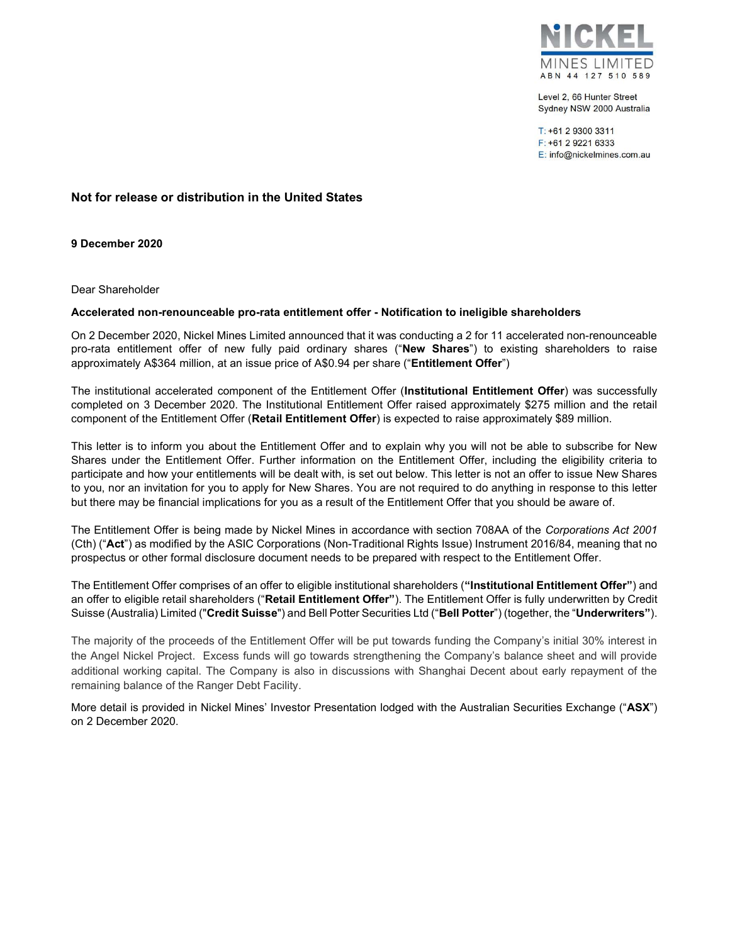

Level 2, 66 Hunter Street Sydney NSW 2000 Australia

T: +61 2 9300 3311 F: +61 2 9221 6333 E: info@nickelmines.com.au

## Not for release or distribution in the United States

9 December 2020

Dear Shareholder

## Accelerated non-renounceable pro-rata entitlement offer - Notification to ineligible shareholders

On 2 December 2020, Nickel Mines Limited announced that it was conducting a 2 for 11 accelerated non-renounceable pro-rata entitlement offer of new fully paid ordinary shares ("New Shares") to existing shareholders to raise approximately A\$364 million, at an issue price of A\$0.94 per share ("Entitlement Offer")

The institutional accelerated component of the Entitlement Offer (Institutional Entitlement Offer) was successfully completed on 3 December 2020. The Institutional Entitlement Offer raised approximately \$275 million and the retail component of the Entitlement Offer (Retail Entitlement Offer) is expected to raise approximately \$89 million.

This letter is to inform you about the Entitlement Offer and to explain why you will not be able to subscribe for New Shares under the Entitlement Offer. Further information on the Entitlement Offer, including the eligibility criteria to participate and how your entitlements will be dealt with, is set out below. This letter is not an offer to issue New Shares to you, nor an invitation for you to apply for New Shares. You are not required to do anything in response to this letter but there may be financial implications for you as a result of the Entitlement Offer that you should be aware of.

The Entitlement Offer is being made by Nickel Mines in accordance with section 708AA of the Corporations Act 2001 (Cth) ("Act") as modified by the ASIC Corporations (Non-Traditional Rights Issue) Instrument 2016/84, meaning that no prospectus or other formal disclosure document needs to be prepared with respect to the Entitlement Offer.

The Entitlement Offer comprises of an offer to eligible institutional shareholders ("Institutional Entitlement Offer") and an offer to eligible retail shareholders ("Retail Entitlement Offer"). The Entitlement Offer is fully underwritten by Credit Suisse (Australia) Limited ("Credit Suisse") and Bell Potter Securities Ltd ("Bell Potter") (together, the "Underwriters").

The majority of the proceeds of the Entitlement Offer will be put towards funding the Company's initial 30% interest in the Angel Nickel Project. Excess funds will go towards strengthening the Company's balance sheet and will provide additional working capital. The Company is also in discussions with Shanghai Decent about early repayment of the remaining balance of the Ranger Debt Facility.

More detail is provided in Nickel Mines' Investor Presentation lodged with the Australian Securities Exchange ("ASX") on 2 December 2020.